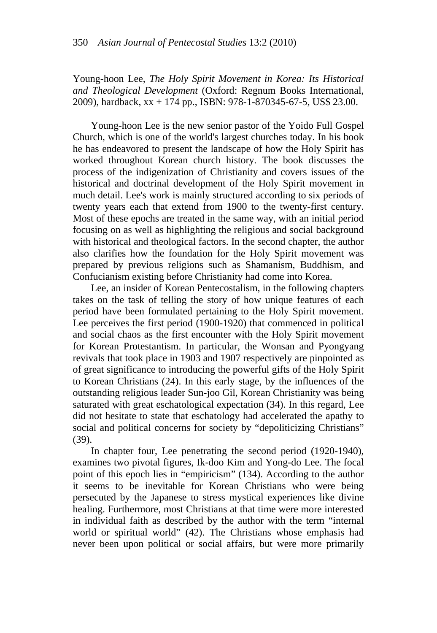Young-hoon Lee, *The Holy Spirit Movement in Korea: Its Historical and Theological Development* (Oxford: Regnum Books International, 2009), hardback, xx + 174 pp., ISBN: 978-1-870345-67-5, US\$ 23.00.

Young-hoon Lee is the new senior pastor of the Yoido Full Gospel Church, which is one of the world's largest churches today. In his book he has endeavored to present the landscape of how the Holy Spirit has worked throughout Korean church history. The book discusses the process of the indigenization of Christianity and covers issues of the historical and doctrinal development of the Holy Spirit movement in much detail. Lee's work is mainly structured according to six periods of twenty years each that extend from 1900 to the twenty-first century. Most of these epochs are treated in the same way, with an initial period focusing on as well as highlighting the religious and social background with historical and theological factors. In the second chapter, the author also clarifies how the foundation for the Holy Spirit movement was prepared by previous religions such as Shamanism, Buddhism, and Confucianism existing before Christianity had come into Korea.

Lee, an insider of Korean Pentecostalism, in the following chapters takes on the task of telling the story of how unique features of each period have been formulated pertaining to the Holy Spirit movement. Lee perceives the first period (1900-1920) that commenced in political and social chaos as the first encounter with the Holy Spirit movement for Korean Protestantism. In particular, the Wonsan and Pyongyang revivals that took place in 1903 and 1907 respectively are pinpointed as of great significance to introducing the powerful gifts of the Holy Spirit to Korean Christians (24). In this early stage, by the influences of the outstanding religious leader Sun-joo Gil, Korean Christianity was being saturated with great eschatological expectation (34). In this regard, Lee did not hesitate to state that eschatology had accelerated the apathy to social and political concerns for society by "depoliticizing Christians" (39).

In chapter four, Lee penetrating the second period (1920-1940), examines two pivotal figures, Ik-doo Kim and Yong-do Lee. The focal point of this epoch lies in "empiricism" (134). According to the author it seems to be inevitable for Korean Christians who were being persecuted by the Japanese to stress mystical experiences like divine healing. Furthermore, most Christians at that time were more interested in individual faith as described by the author with the term "internal world or spiritual world" (42). The Christians whose emphasis had never been upon political or social affairs, but were more primarily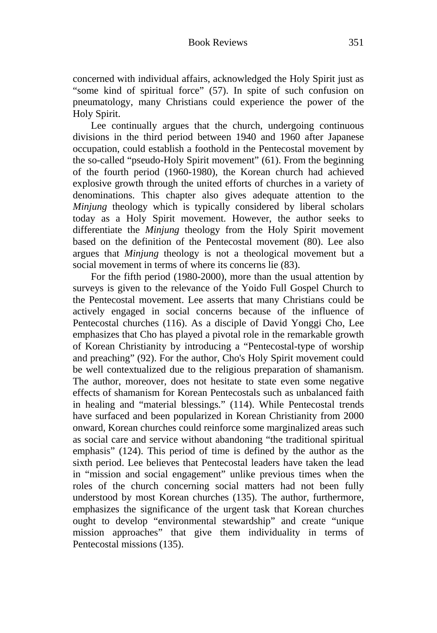concerned with individual affairs, acknowledged the Holy Spirit just as "some kind of spiritual force" (57). In spite of such confusion on pneumatology, many Christians could experience the power of the Holy Spirit.

Lee continually argues that the church, undergoing continuous divisions in the third period between 1940 and 1960 after Japanese occupation, could establish a foothold in the Pentecostal movement by the so-called "pseudo-Holy Spirit movement" (61). From the beginning of the fourth period (1960-1980), the Korean church had achieved explosive growth through the united efforts of churches in a variety of denominations. This chapter also gives adequate attention to the *Minjung* theology which is typically considered by liberal scholars today as a Holy Spirit movement. However, the author seeks to differentiate the *Minjung* theology from the Holy Spirit movement based on the definition of the Pentecostal movement (80). Lee also argues that *Minjung* theology is not a theological movement but a social movement in terms of where its concerns lie (83).

For the fifth period (1980-2000), more than the usual attention by surveys is given to the relevance of the Yoido Full Gospel Church to the Pentecostal movement. Lee asserts that many Christians could be actively engaged in social concerns because of the influence of Pentecostal churches (116). As a disciple of David Yonggi Cho, Lee emphasizes that Cho has played a pivotal role in the remarkable growth of Korean Christianity by introducing a "Pentecostal-type of worship and preaching" (92). For the author, Cho's Holy Spirit movement could be well contextualized due to the religious preparation of shamanism. The author, moreover, does not hesitate to state even some negative effects of shamanism for Korean Pentecostals such as unbalanced faith in healing and "material blessings." (114). While Pentecostal trends have surfaced and been popularized in Korean Christianity from 2000 onward, Korean churches could reinforce some marginalized areas such as social care and service without abandoning "the traditional spiritual emphasis" (124). This period of time is defined by the author as the sixth period. Lee believes that Pentecostal leaders have taken the lead in "mission and social engagement" unlike previous times when the roles of the church concerning social matters had not been fully understood by most Korean churches (135). The author, furthermore, emphasizes the significance of the urgent task that Korean churches ought to develop "environmental stewardship" and create "unique mission approaches" that give them individuality in terms of Pentecostal missions (135).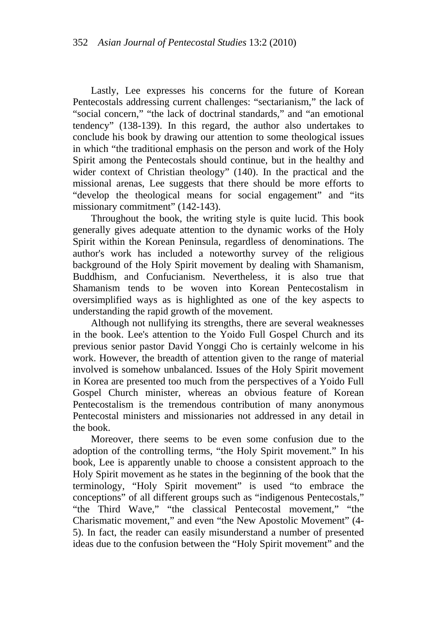Lastly, Lee expresses his concerns for the future of Korean Pentecostals addressing current challenges: "sectarianism," the lack of "social concern," "the lack of doctrinal standards," and "an emotional tendency" (138-139). In this regard, the author also undertakes to conclude his book by drawing our attention to some theological issues in which "the traditional emphasis on the person and work of the Holy Spirit among the Pentecostals should continue, but in the healthy and wider context of Christian theology" (140). In the practical and the missional arenas, Lee suggests that there should be more efforts to "develop the theological means for social engagement" and "its missionary commitment" (142-143).

Throughout the book, the writing style is quite lucid. This book generally gives adequate attention to the dynamic works of the Holy Spirit within the Korean Peninsula, regardless of denominations. The author's work has included a noteworthy survey of the religious background of the Holy Spirit movement by dealing with Shamanism, Buddhism, and Confucianism. Nevertheless, it is also true that Shamanism tends to be woven into Korean Pentecostalism in oversimplified ways as is highlighted as one of the key aspects to understanding the rapid growth of the movement.

Although not nullifying its strengths, there are several weaknesses in the book. Lee's attention to the Yoido Full Gospel Church and its previous senior pastor David Yonggi Cho is certainly welcome in his work. However, the breadth of attention given to the range of material involved is somehow unbalanced. Issues of the Holy Spirit movement in Korea are presented too much from the perspectives of a Yoido Full Gospel Church minister, whereas an obvious feature of Korean Pentecostalism is the tremendous contribution of many anonymous Pentecostal ministers and missionaries not addressed in any detail in the book.

Moreover, there seems to be even some confusion due to the adoption of the controlling terms, "the Holy Spirit movement." In his book, Lee is apparently unable to choose a consistent approach to the Holy Spirit movement as he states in the beginning of the book that the terminology, "Holy Spirit movement" is used "to embrace the conceptions" of all different groups such as "indigenous Pentecostals," "the Third Wave," "the classical Pentecostal movement," "the Charismatic movement," and even "the New Apostolic Movement" (4- 5). In fact, the reader can easily misunderstand a number of presented ideas due to the confusion between the "Holy Spirit movement" and the